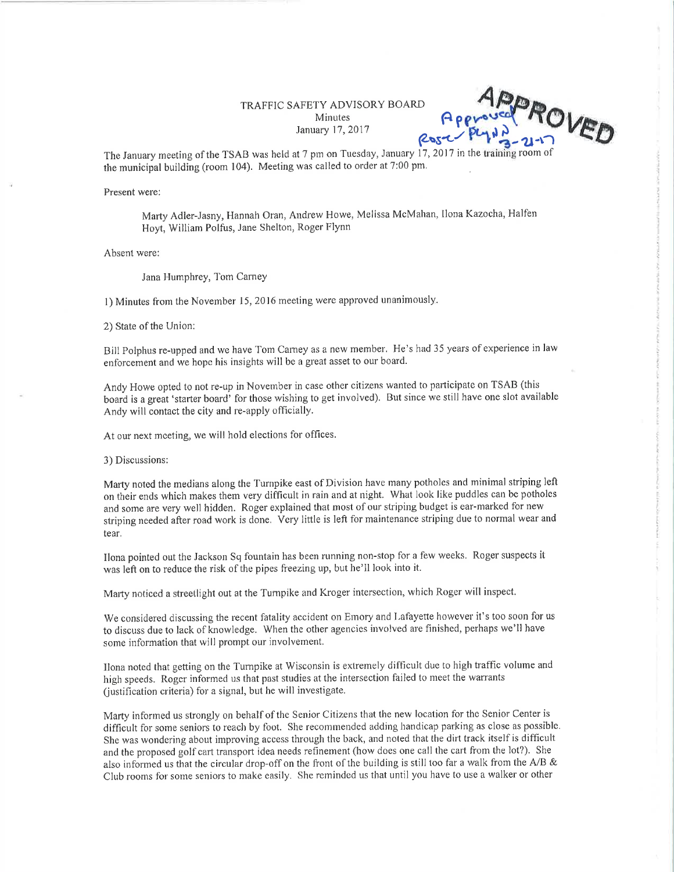## TRAFFIC SAFETY ADVISORY BOARD Minutes  $\begin{bmatrix} 4 & 6 \end{bmatrix}$  B g

 $8052 + 84112 - 21 - 17$ 

The January meeting of the TSAB was held at 7 pm on Tuesday, January 17, 2017 in the training room of the municipal building (room 104). Meeting was called to order at 7:00 pm.

Present were:

Marty Adler-Jasny, Hannah Oran, Andrew Howe, Melissa McMahan, llona Kazocha, Halfen Hoyt, William Polfus, Jane Shelton, Roger Flynn

Absent were:

Jana Humphrey, Tom Carney

l) Minutes fiom the November l5,2016 meeting were approved unanimously.

2) State of the Union:

Bill Polphus re-upped and we have Tom Camey as a new member. He's had 35 years of experience in law enforcement and we hope his insights will be a great asset to our board.

Andy Howe opted to not re-up in November in case other citizens wanted to patticipate on TSAB (this board is a great 'starter board' for those wishing to get involved). But since we still have one slot available Andy will contact the city and re-apply officially.

At our next mceting, we will hold elections for offices.

3) Discussions:

Marty noted the medians along the Turnpike east of Division have many potholes and minimal striping left on their ends which makes them very difficult in rain and at night. What look like puddles can be potholes and some are very well hidden. Roger explained that most of our striping budget is ear-marked for new striping needed after road work is done. Very little is left for maintenance striping due to normal wear and tear,

Ilona pointed out the Jackson Sq fountain has been running non-stop for a few weeks. Roger suspects it was left on to reduce the risk of the pipes freezing up, but he'll look into it.

Marty noticed a streetlight out at the Turnpike and Kroger intersection, which Roger will inspect.

We considered discussing the recent fatality accident on Emory and Lafayette however it's too soon for us to discuss due to lack of knowledge. When the other agencies involved are finished, perhaps we'll have some information that will prompt our involvement.

Ilona noted that getting on the Tumpike at Wisconsin is extremely difficult duc to high traffic volume and high speeds. Roger informed us that past studies at the intersection failed to meet the warrants (ustification criteria) for a signal, but he will investigate.

Marty inforrned us strongly on behalf of thc Senior Citizens that the new location for the Senior Center is difficult for some seniors to reach by foot. She recommended adding handicap parking as close as possible. She was wondering about improving access through the back, and noted that the dirt track itself is difficult and the proposed golf cart transport idea needs refinement (how does one call the cart from the lot?). She also informed us that the circular drop-off on the front of the building is still too far a walk from the A/B & Club rooms for some seniors to make easily. She reminded us that until you have to use a walker or other